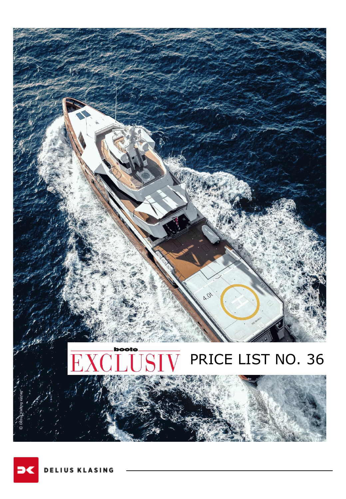

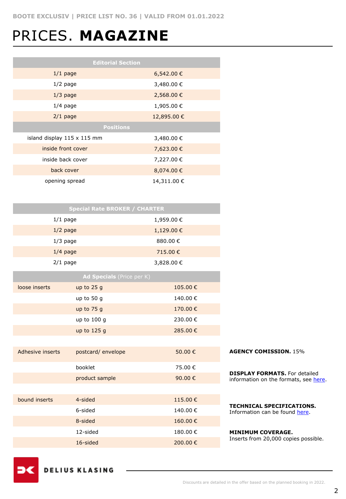## PRICES. **MAGAZINE**

| <b>Editorial Section</b>           |             |  |  |  |
|------------------------------------|-------------|--|--|--|
| $1/1$ page                         | 6,542.00 €  |  |  |  |
| $1/2$ page                         | 3,480.00 €  |  |  |  |
| $1/3$ page                         | 2,568.00 €  |  |  |  |
| $1/4$ page                         | 1,905.00€   |  |  |  |
| $2/1$ page                         | 12,895.00 € |  |  |  |
| <b>Positions</b>                   |             |  |  |  |
| island display $115 \times 115$ mm | 3,480.00 €  |  |  |  |
| inside front cover                 | 7,623.00 €  |  |  |  |
| inside back cover                  | 7,227.00 €  |  |  |  |
| back cover                         | 8,074.00 €  |  |  |  |
| opening spread                     | 14,311.00 € |  |  |  |

|            |                  | <b>Special Rate BROKER / CHARTER</b> |            |         |
|------------|------------------|--------------------------------------|------------|---------|
|            | $1/1$ page       |                                      | 1,959.00€  |         |
|            | $1/2$ page       |                                      | 1,129.00€  |         |
|            | $1/3$ page       |                                      | 880.00€    |         |
| $1/4$ page |                  |                                      | 715.00€    |         |
|            | $2/1$ page       |                                      | 3,828.00 € |         |
|            |                  | Ad Specials (Price per K)            |            |         |
|            | loose inserts    | up to $25g$                          | 105.00€    |         |
|            |                  | up to 50 g                           | 140.00€    |         |
|            |                  | up to 75 g                           | 170.00€    |         |
|            |                  | up to 100 g                          | 230.00€    |         |
|            |                  | up to 125 g                          | 285.00€    |         |
|            |                  |                                      |            |         |
|            | Adhesive inserts | postcard/envelope                    | 50.00€     |         |
|            |                  | booklet                              | 75.00€     |         |
|            |                  | product sample                       | 90.00€     | D<br>ÌI |
|            |                  |                                      |            |         |
|            | bound inserts    | 4-sided                              | 115.00€    |         |
|            |                  | 6-sided                              | 140.00€    | ד<br>ז  |
|            |                  | 8-sided                              | 160.00€    |         |
|            |                  | 12-sided                             | 180.00€    |         |
|            |                  | 16-sided                             | 200.00€    | I       |
|            |                  |                                      |            |         |

**AGENCY COMISSION.** 15%

**DISPLAY FORMATS.** For detailed nformation on the formats, see [here.](https://www.dk-mediasales.de/print-formate)

**TECHNICAL SPECIFICATIONS.**  Information can be found [here](https://www.dk-mediasales.de/spezifikationen-print).

**MINIMUM COVERAGE.** Inserts from 20,000 copies possible.

**DELIUS KLASING**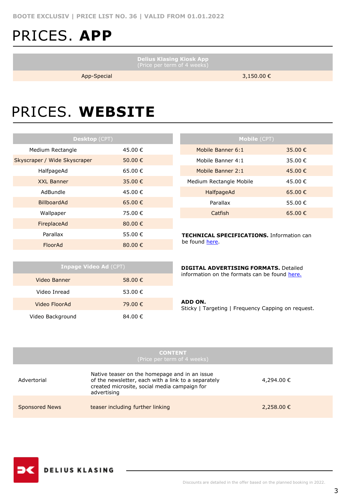## PRICES. **APP**

**Delius Klasing Kiosk App**

ı

App-Special 3,150.00 €

### PRICES. **WEBSITE**

| <b>Desktop (CPT)</b>         |             |
|------------------------------|-------------|
| Medium Rectangle             | 45.00 €     |
| Skyscraper / Wide Skyscraper | 50.00€      |
| HalfpageAd                   | 65.00 €     |
| <b>XXL Banner</b>            | 35.00 €     |
| AdBundle                     | 45.00€      |
| <b>BillboardAd</b>           | 65.00 €     |
| Wallpaper                    | 75.00€      |
| FireplaceAd                  | 80.00 €     |
| Parallax                     | 55.00 €     |
| FloorAd                      | 80.00 $\in$ |

| <b>Mobile (CPT)</b>     |         |  |  |  |
|-------------------------|---------|--|--|--|
| Mobile Banner 6:1       | 35.00 € |  |  |  |
| Mobile Banner 4:1       | 35.00 € |  |  |  |
| Mobile Banner 2:1       | 45.00 € |  |  |  |
| Medium Rectangle Mobile | 45.00 € |  |  |  |
| HalfpageAd              | 65.00 € |  |  |  |
| Parallax                | 55.00 € |  |  |  |
| Catfish                 | 65.00€  |  |  |  |

**TECHNICAL SPECIFICATIONS.** Information can be found [here.](https://www.dk-mediasales.de/spezifikationen-digital)

| <b>Inpage Video Ad (CPT)</b> |         |  |  |
|------------------------------|---------|--|--|
| Video Banner                 | 58.00 € |  |  |
| Video Inread                 | 53.00 € |  |  |
| Video FloorAd                | 79.00 € |  |  |
| Video Background             | 84.00 € |  |  |

| <b>DIGITAL ADVERTISING FORMATS.</b> Detailed  |  |
|-----------------------------------------------|--|
| information on the formats can be found here. |  |

#### **ADD ON.**

Sticky | Targeting | Frequency Capping on request.

|                       | <b>CONTENT</b><br>(Price per term of 4 weeks)                                                                                                                       |            |
|-----------------------|---------------------------------------------------------------------------------------------------------------------------------------------------------------------|------------|
| Advertorial           | Native teaser on the homepage and in an issue<br>of the newsletter, each with a link to a separately<br>created microsite, social media campaign for<br>advertising | 4,294.00 € |
| <b>Sponsored News</b> | teaser including further linking                                                                                                                                    | 2,258.00 € |

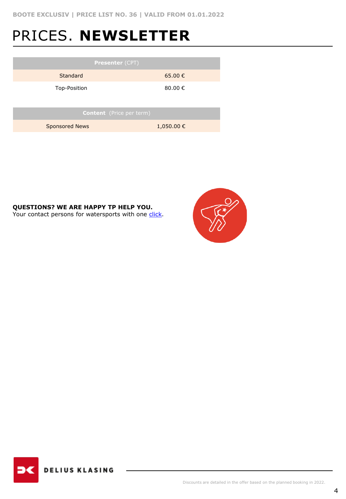## PRICES. **NEWSLETTER**

| <b>Presenter (CPT)</b>          |                |  |  |
|---------------------------------|----------------|--|--|
| Standard                        | 65.00€         |  |  |
| Top-Position                    | 80,00 €        |  |  |
|                                 |                |  |  |
| <b>Content</b> (Price per term) |                |  |  |
| <b>Sponsored News</b>           | $1,050.00 \in$ |  |  |
|                                 |                |  |  |

**QUESTIONS? WE ARE HAPPY TP HELP YOU.**

Your contact persons for watersports with one [click.](https://www.dk-mediasales.de/kontakt-wassersport)



**DELIUS KLASING**